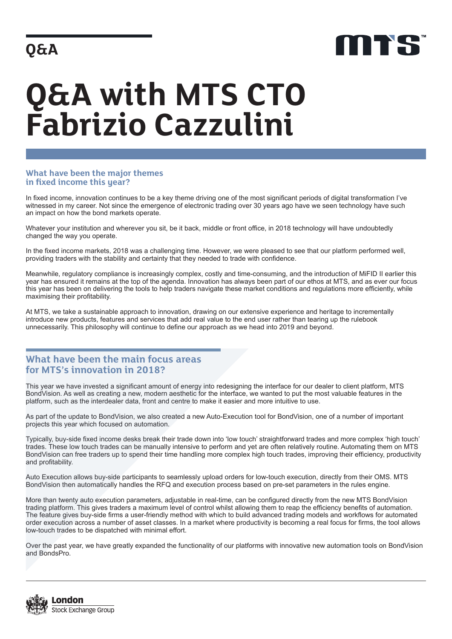## **Q&A**



# **Q&A with MTS CTO Fabrizio Cazzulini**

#### **What have been the major themes in fixed income this year?**

In fixed income, innovation continues to be a key theme driving one of the most significant periods of digital transformation I've witnessed in my career. Not since the emergence of electronic trading over 30 years ago have we seen technology have such an impact on how the bond markets operate.

Whatever your institution and wherever you sit, be it back, middle or front office, in 2018 technology will have undoubtedly changed the way you operate.

In the fixed income markets, 2018 was a challenging time. However, we were pleased to see that our platform performed well, providing traders with the stability and certainty that they needed to trade with confidence.

Meanwhile, regulatory compliance is increasingly complex, costly and time-consuming, and the introduction of MiFID II earlier this year has ensured it remains at the top of the agenda. Innovation has always been part of our ethos at MTS, and as ever our focus this year has been on delivering the tools to help traders navigate these market conditions and regulations more efficiently, while maximising their profitability.

At MTS, we take a sustainable approach to innovation, drawing on our extensive experience and heritage to incrementally introduce new products, features and services that add real value to the end user rather than tearing up the rulebook unnecessarily. This philosophy will continue to define our approach as we head into 2019 and beyond.

### **What have been the main focus areas for MTS's innovation in 2018?**

This year we have invested a significant amount of energy into redesigning the interface for our dealer to client platform, MTS BondVision. As well as creating a new, modern aesthetic for the interface, we wanted to put the most valuable features in the platform, such as the interdealer data, front and centre to make it easier and more intuitive to use.

As part of the update to BondVision, we also created a new Auto-Execution tool for BondVision, one of a number of important projects this year which focused on automation.

Typically, buy-side fixed income desks break their trade down into 'low touch' straightforward trades and more complex 'high touch' trades. These low touch trades can be manually intensive to perform and yet are often relatively routine. Automating them on MTS BondVision can free traders up to spend their time handling more complex high touch trades, improving their efficiency, productivity and profitability.

Auto Execution allows buy-side participants to seamlessly upload orders for low-touch execution, directly from their OMS. MTS BondVision then automatically handles the RFQ and execution process based on pre-set parameters in the rules engine.

More than twenty auto execution parameters, adjustable in real-time, can be configured directly from the new MTS BondVision trading platform. This gives traders a maximum level of control whilst allowing them to reap the efficiency benefits of automation. The feature gives buy-side firms a user-friendly method with which to build advanced trading models and workflows for automated order execution across a number of asset classes. In a market where productivity is becoming a real focus for firms, the tool allows low-touch trades to be dispatched with minimal effort.

Over the past year, we have greatly expanded the functionality of our platforms with innovative new automation tools on BondVision and BondsPro.